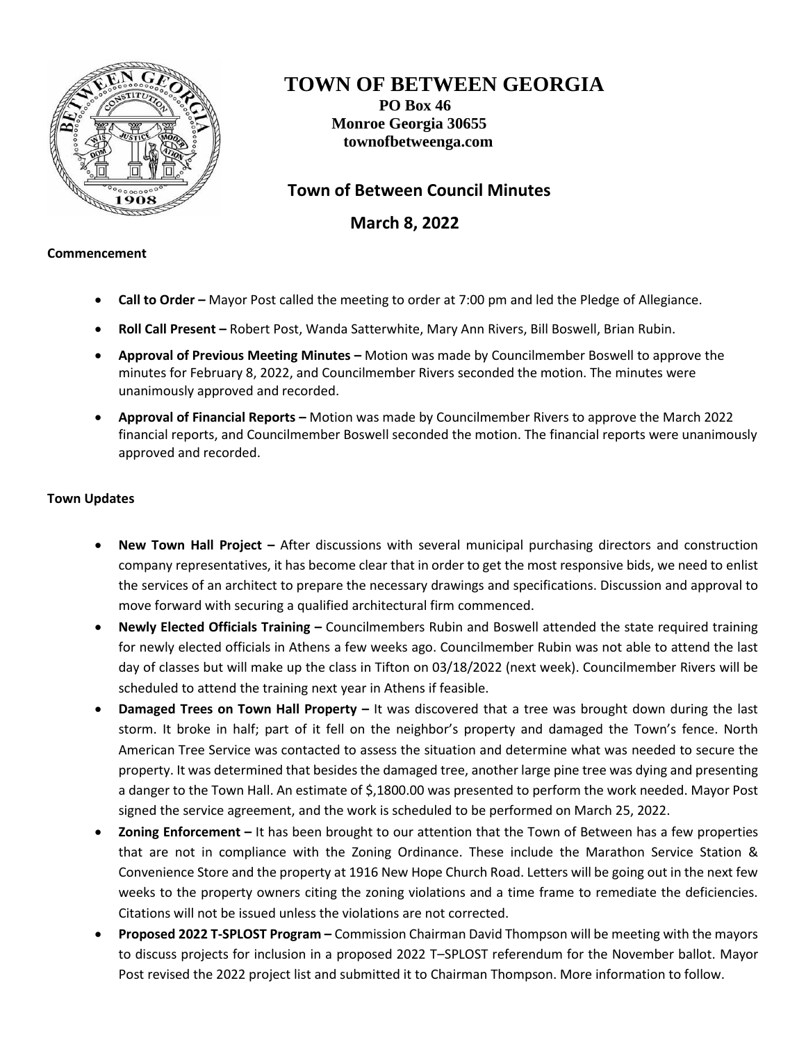

# **TOWN OF BETWEEN GEORGIA**

**PO Box 46 Monroe Georgia 30655 townofbetweenga.com**

## **Town of Between Council Minutes**

 **March 8, 2022**

#### **Commencement**

- **Call to Order –** Mayor Post called the meeting to order at 7:00 pm and led the Pledge of Allegiance.
- **Roll Call Present –** Robert Post, Wanda Satterwhite, Mary Ann Rivers, Bill Boswell, Brian Rubin.
- **Approval of Previous Meeting Minutes –** Motion was made by Councilmember Boswell to approve the minutes for February 8, 2022, and Councilmember Rivers seconded the motion. The minutes were unanimously approved and recorded.
- **Approval of Financial Reports –** Motion was made by Councilmember Rivers to approve the March 2022 financial reports, and Councilmember Boswell seconded the motion. The financial reports were unanimously approved and recorded.

### **Town Updates**

- **New Town Hall Project –** After discussions with several municipal purchasing directors and construction company representatives, it has become clear that in order to get the most responsive bids, we need to enlist the services of an architect to prepare the necessary drawings and specifications. Discussion and approval to move forward with securing a qualified architectural firm commenced.
- **Newly Elected Officials Training –** Councilmembers Rubin and Boswell attended the state required training for newly elected officials in Athens a few weeks ago. Councilmember Rubin was not able to attend the last day of classes but will make up the class in Tifton on 03/18/2022 (next week). Councilmember Rivers will be scheduled to attend the training next year in Athens if feasible.
- **Damaged Trees on Town Hall Property –** It was discovered that a tree was brought down during the last storm. It broke in half; part of it fell on the neighbor's property and damaged the Town's fence. North American Tree Service was contacted to assess the situation and determine what was needed to secure the property. It was determined that besides the damaged tree, another large pine tree was dying and presenting a danger to the Town Hall. An estimate of \$,1800.00 was presented to perform the work needed. Mayor Post signed the service agreement, and the work is scheduled to be performed on March 25, 2022.
- **Zoning Enforcement –** It has been brought to our attention that the Town of Between has a few properties that are not in compliance with the Zoning Ordinance. These include the Marathon Service Station & Convenience Store and the property at 1916 New Hope Church Road. Letters will be going out in the next few weeks to the property owners citing the zoning violations and a time frame to remediate the deficiencies. Citations will not be issued unless the violations are not corrected.
- **Proposed 2022 T-SPLOST Program –** Commission Chairman David Thompson will be meeting with the mayors to discuss projects for inclusion in a proposed 2022 T–SPLOST referendum for the November ballot. Mayor Post revised the 2022 project list and submitted it to Chairman Thompson. More information to follow.